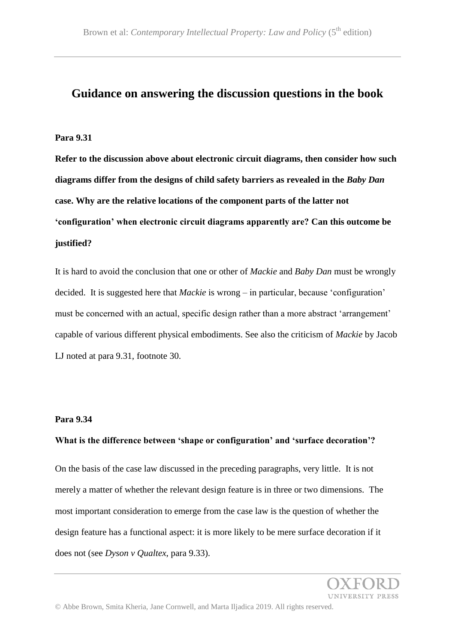## **Guidance on answering the discussion questions in the book**

#### **Para 9.31**

**Refer to the discussion above about electronic circuit diagrams, then consider how such diagrams differ from the designs of child safety barriers as revealed in the** *Baby Dan*  **case. Why are the relative locations of the component parts of the latter not 'configuration' when electronic circuit diagrams apparently are? Can this outcome be justified?**

It is hard to avoid the conclusion that one or other of *Mackie* and *Baby Dan* must be wrongly decided. It is suggested here that *Mackie* is wrong – in particular, because 'configuration' must be concerned with an actual, specific design rather than a more abstract 'arrangement' capable of various different physical embodiments. See also the criticism of *Mackie* by Jacob LJ noted at para 9.31, footnote 30.

#### **Para 9.34**

## **What is the difference between 'shape or configuration' and 'surface decoration'?**

On the basis of the case law discussed in the preceding paragraphs, very little. It is not merely a matter of whether the relevant design feature is in three or two dimensions. The most important consideration to emerge from the case law is the question of whether the design feature has a functional aspect: it is more likely to be mere surface decoration if it does not (see *Dyson v Qualtex*, para 9.33).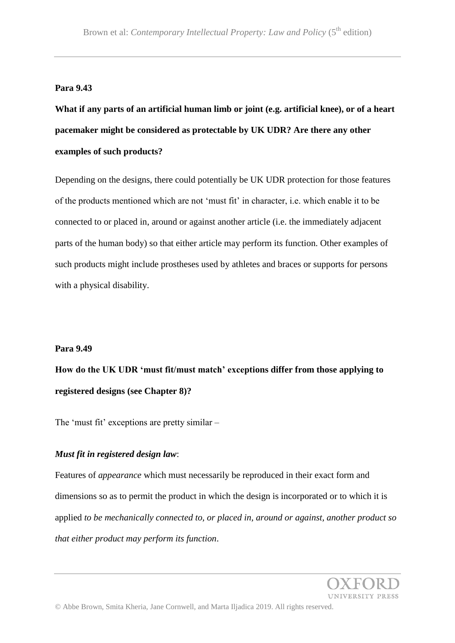## **Para 9.43**

**What if any parts of an artificial human limb or joint (e.g. artificial knee), or of a heart pacemaker might be considered as protectable by UK UDR? Are there any other examples of such products?**

Depending on the designs, there could potentially be UK UDR protection for those features of the products mentioned which are not 'must fit' in character, i.e. which enable it to be connected to or placed in, around or against another article (i.e. the immediately adjacent parts of the human body) so that either article may perform its function. Other examples of such products might include prostheses used by athletes and braces or supports for persons with a physical disability.

#### **Para 9.49**

**How do the UK UDR 'must fit/must match' exceptions differ from those applying to registered designs (see Chapter 8)?**

The 'must fit' exceptions are pretty similar –

#### *Must fit in registered design law*:

Features of *appearance* which must necessarily be reproduced in their exact form and dimensions so as to permit the product in which the design is incorporated or to which it is applied *to be mechanically connected to, or placed in, around or against, another product so that either product may perform its function*.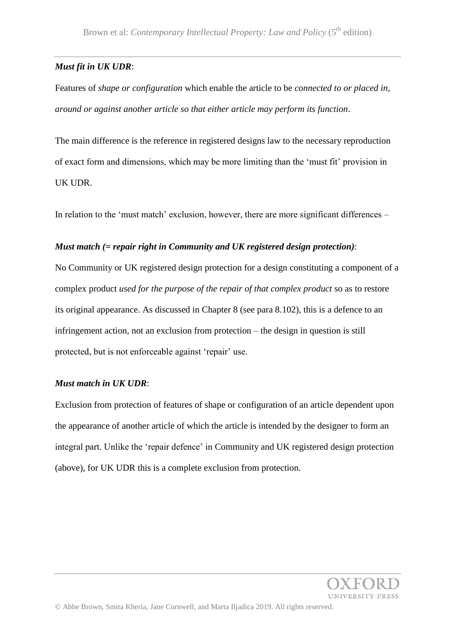## *Must fit in UK UDR*:

Features of *shape or configuration* which enable the article to be *connected to or placed in, around or against another article so that either article may perform its function*.

The main difference is the reference in registered designs law to the necessary reproduction of exact form and dimensions, which may be more limiting than the 'must fit' provision in UK UDR.

In relation to the 'must match' exclusion, however, there are more significant differences –

## *Must match (= repair right in Community and UK registered design protection)*:

No Community or UK registered design protection for a design constituting a component of a complex product *used for the purpose of the repair of that complex product* so as to restore its original appearance. As discussed in Chapter 8 (see para 8.102), this is a defence to an infringement action, not an exclusion from protection – the design in question is still protected, but is not enforceable against 'repair' use.

## *Must match in UK UDR*:

Exclusion from protection of features of shape or configuration of an article dependent upon the appearance of another article of which the article is intended by the designer to form an integral part. Unlike the 'repair defence' in Community and UK registered design protection (above), for UK UDR this is a complete exclusion from protection.

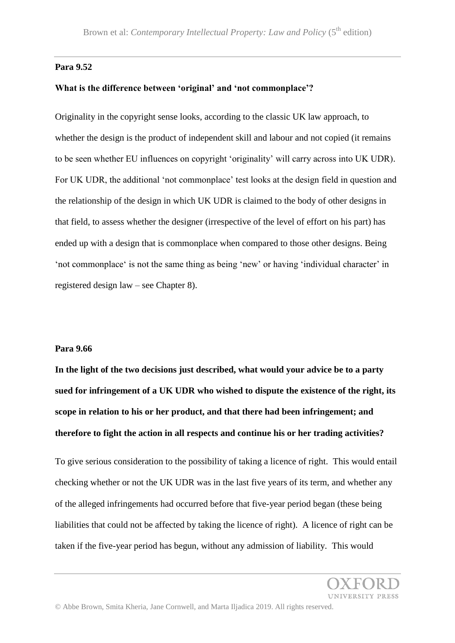### **Para 9.52**

#### **What is the difference between 'original' and 'not commonplace'?**

Originality in the copyright sense looks, according to the classic UK law approach, to whether the design is the product of independent skill and labour and not copied (it remains to be seen whether EU influences on copyright 'originality' will carry across into UK UDR). For UK UDR, the additional 'not commonplace' test looks at the design field in question and the relationship of the design in which UK UDR is claimed to the body of other designs in that field, to assess whether the designer (irrespective of the level of effort on his part) has ended up with a design that is commonplace when compared to those other designs. Being 'not commonplace' is not the same thing as being 'new' or having 'individual character' in registered design law – see Chapter 8).

#### **Para 9.66**

**In the light of the two decisions just described, what would your advice be to a party sued for infringement of a UK UDR who wished to dispute the existence of the right, its scope in relation to his or her product, and that there had been infringement; and therefore to fight the action in all respects and continue his or her trading activities?**

To give serious consideration to the possibility of taking a licence of right. This would entail checking whether or not the UK UDR was in the last five years of its term, and whether any of the alleged infringements had occurred before that five-year period began (these being liabilities that could not be affected by taking the licence of right). A licence of right can be taken if the five-year period has begun, without any admission of liability. This would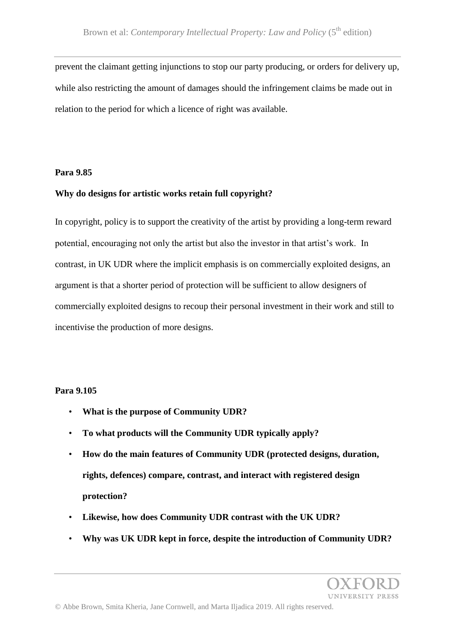prevent the claimant getting injunctions to stop our party producing, or orders for delivery up, while also restricting the amount of damages should the infringement claims be made out in relation to the period for which a licence of right was available.

#### **Para 9.85**

## **Why do designs for artistic works retain full copyright?**

In copyright, policy is to support the creativity of the artist by providing a long-term reward potential, encouraging not only the artist but also the investor in that artist's work. In contrast, in UK UDR where the implicit emphasis is on commercially exploited designs, an argument is that a shorter period of protection will be sufficient to allow designers of commercially exploited designs to recoup their personal investment in their work and still to incentivise the production of more designs.

## **Para 9.105**

- **What is the purpose of Community UDR?**
- **To what products will the Community UDR typically apply?**
- **How do the main features of Community UDR (protected designs, duration, rights, defences) compare, contrast, and interact with registered design protection?**
- **Likewise, how does Community UDR contrast with the UK UDR?**
- **Why was UK UDR kept in force, despite the introduction of Community UDR?**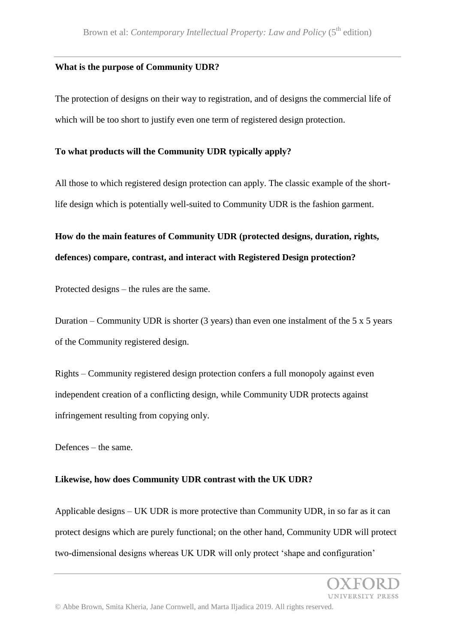## **What is the purpose of Community UDR?**

The protection of designs on their way to registration, and of designs the commercial life of which will be too short to justify even one term of registered design protection.

## **To what products will the Community UDR typically apply?**

All those to which registered design protection can apply. The classic example of the shortlife design which is potentially well-suited to Community UDR is the fashion garment.

# **How do the main features of Community UDR (protected designs, duration, rights, defences) compare, contrast, and interact with Registered Design protection?**

Protected designs – the rules are the same.

Duration – Community UDR is shorter  $(3 \text{ years})$  than even one instalment of the 5 x 5 years of the Community registered design.

Rights – Community registered design protection confers a full monopoly against even independent creation of a conflicting design, while Community UDR protects against infringement resulting from copying only.

Defences – the same.

## **Likewise, how does Community UDR contrast with the UK UDR?**

Applicable designs – UK UDR is more protective than Community UDR, in so far as it can protect designs which are purely functional; on the other hand, Community UDR will protect two-dimensional designs whereas UK UDR will only protect 'shape and configuration'